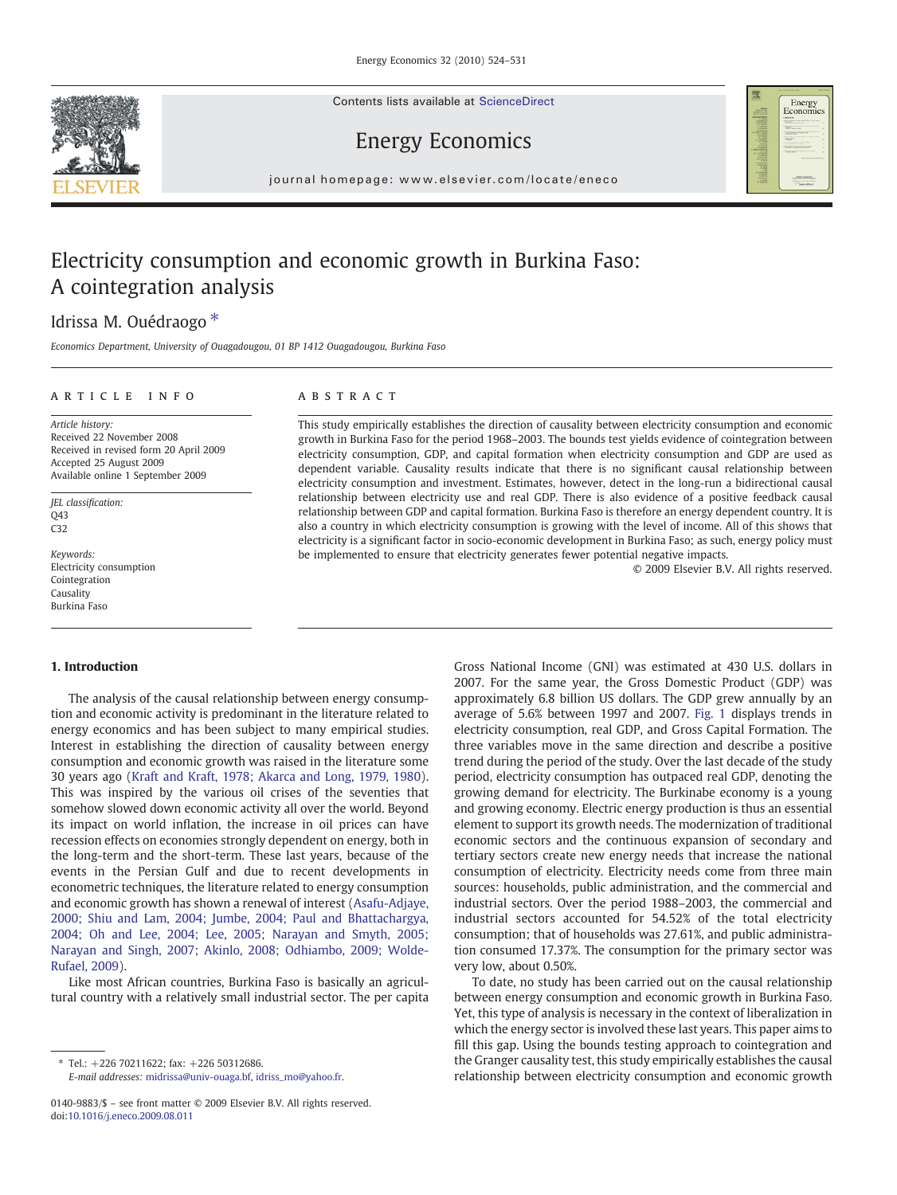Contents lists available at ScienceDirect





## Energy Economics

journal homepage: www.elsevier.com/locate/eneco

# Electricity consumption and economic growth in Burkina Faso: A cointegration analysis

## Idrissa M. Ouédraogo<sup>\*</sup>

Economics Department, University of Ouagadougou, 01 BP 1412 Ouagadougou, Burkina Faso

## ARTICLE INFO ABSTRACT

Article history: Received 22 November 2008 Received in revised form 20 April 2009 Accepted 25 August 2009 Available online 1 September 2009

JEL classification:  $043$ C32

Keywords: Electricity consumption Cointegration Causality Burkina Faso

### 1. Introduction

The analysis of the causal relationship between energy consumption and economic activity is predominant in the literature related to energy economics and has been subject to many empirical studies. Interest in establishing the direction of causality between energy consumption and economic growth was raised in the literature some 30 years ago [\(Kraft and Kraft, 1978; Akarca and Long, 1979, 1980](#page--1-0)). This was inspired by the various oil crises of the seventies that somehow slowed down economic activity all over the world. Beyond its impact on world inflation, the increase in oil prices can have recession effects on economies strongly dependent on energy, both in the long-term and the short-term. These last years, because of the events in the Persian Gulf and due to recent developments in econometric techniques, the literature related to energy consumption and economic growth has shown a renewal of interest ([Asafu-Adjaye,](#page--1-0) [2000; Shiu and Lam, 2004; Jumbe, 2004; Paul and Bhattachargya,](#page--1-0) [2004; Oh and Lee, 2004; Lee, 2005; Narayan and Smyth, 2005;](#page--1-0) [Narayan and Singh, 2007; Akinlo, 2008; Odhiambo, 2009; Wolde-](#page--1-0)[Rufael, 2009\)](#page--1-0).

Like most African countries, Burkina Faso is basically an agricultural country with a relatively small industrial sector. The per capita

⁎ Tel.: +226 70211622; fax: +226 50312686.

E-mail addresses: [midrissa@univ-ouaga.bf,](mailto:midrissa@univ-ouaga.bf) [idriss\\_mo@yahoo.fr](mailto:idriss_mo@yahoo.fr).

This study empirically establishes the direction of causality between electricity consumption and economic growth in Burkina Faso for the period 1968–2003. The bounds test yields evidence of cointegration between electricity consumption, GDP, and capital formation when electricity consumption and GDP are used as dependent variable. Causality results indicate that there is no significant causal relationship between electricity consumption and investment. Estimates, however, detect in the long-run a bidirectional causal relationship between electricity use and real GDP. There is also evidence of a positive feedback causal relationship between GDP and capital formation. Burkina Faso is therefore an energy dependent country. It is also a country in which electricity consumption is growing with the level of income. All of this shows that electricity is a significant factor in socio-economic development in Burkina Faso; as such, energy policy must be implemented to ensure that electricity generates fewer potential negative impacts.

© 2009 Elsevier B.V. All rights reserved.

Gross National Income (GNI) was estimated at 430 U.S. dollars in 2007. For the same year, the Gross Domestic Product (GDP) was approximately 6.8 billion US dollars. The GDP grew annually by an average of 5.6% between 1997 and 2007. [Fig. 1](#page-1-0) displays trends in electricity consumption, real GDP, and Gross Capital Formation. The three variables move in the same direction and describe a positive trend during the period of the study. Over the last decade of the study period, electricity consumption has outpaced real GDP, denoting the growing demand for electricity. The Burkinabe economy is a young and growing economy. Electric energy production is thus an essential element to support its growth needs. The modernization of traditional economic sectors and the continuous expansion of secondary and tertiary sectors create new energy needs that increase the national consumption of electricity. Electricity needs come from three main sources: households, public administration, and the commercial and industrial sectors. Over the period 1988–2003, the commercial and industrial sectors accounted for 54.52% of the total electricity consumption; that of households was 27.61%, and public administration consumed 17.37%. The consumption for the primary sector was very low, about 0.50%.

To date, no study has been carried out on the causal relationship between energy consumption and economic growth in Burkina Faso. Yet, this type of analysis is necessary in the context of liberalization in which the energy sector is involved these last years. This paper aims to fill this gap. Using the bounds testing approach to cointegration and the Granger causality test, this study empirically establishes the causal relationship between electricity consumption and economic growth

<sup>0140-9883/\$</sup> – see front matter © 2009 Elsevier B.V. All rights reserved. doi[:10.1016/j.eneco.2009.08.011](http://dx.doi.org/10.1016/j.eneco.2009.08.011)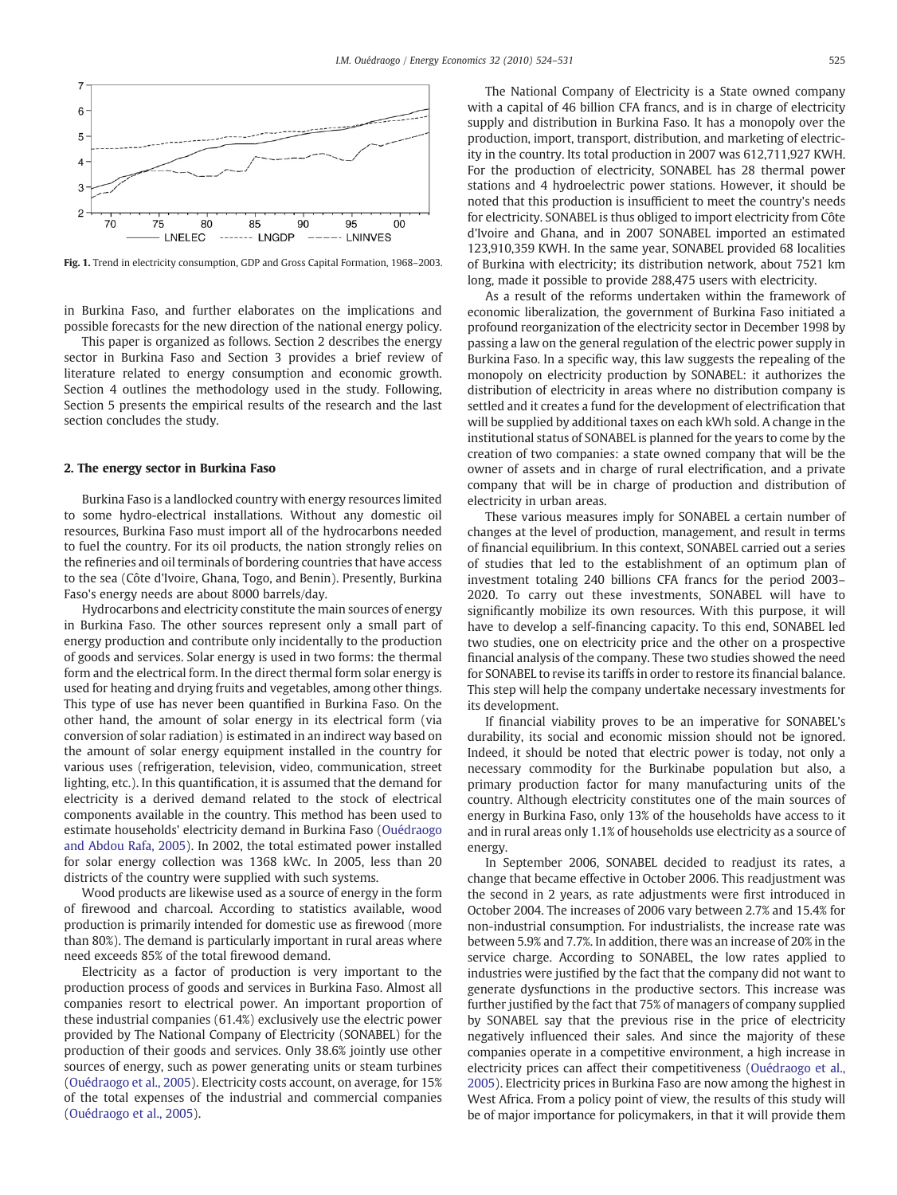<span id="page-1-0"></span>

Fig. 1. Trend in electricity consumption, GDP and Gross Capital Formation, 1968–2003.

in Burkina Faso, and further elaborates on the implications and possible forecasts for the new direction of the national energy policy.

This paper is organized as follows. Section 2 describes the energy sector in Burkina Faso and Section 3 provides a brief review of literature related to energy consumption and economic growth. Section 4 outlines the methodology used in the study. Following, Section 5 presents the empirical results of the research and the last section concludes the study.

### 2. The energy sector in Burkina Faso

Burkina Faso is a landlocked country with energy resources limited to some hydro-electrical installations. Without any domestic oil resources, Burkina Faso must import all of the hydrocarbons needed to fuel the country. For its oil products, the nation strongly relies on the refineries and oil terminals of bordering countries that have access to the sea (Côte d'Ivoire, Ghana, Togo, and Benin). Presently, Burkina Faso's energy needs are about 8000 barrels/day.

Hydrocarbons and electricity constitute the main sources of energy in Burkina Faso. The other sources represent only a small part of energy production and contribute only incidentally to the production of goods and services. Solar energy is used in two forms: the thermal form and the electrical form. In the direct thermal form solar energy is used for heating and drying fruits and vegetables, among other things. This type of use has never been quantified in Burkina Faso. On the other hand, the amount of solar energy in its electrical form (via conversion of solar radiation) is estimated in an indirect way based on the amount of solar energy equipment installed in the country for various uses (refrigeration, television, video, communication, street lighting, etc.). In this quantification, it is assumed that the demand for electricity is a derived demand related to the stock of electrical components available in the country. This method has been used to estimate households' electricity demand in Burkina Faso ([Ouédraogo](#page--1-0) [and Abdou Rafa, 2005](#page--1-0)). In 2002, the total estimated power installed for solar energy collection was 1368 kWc. In 2005, less than 20 districts of the country were supplied with such systems.

Wood products are likewise used as a source of energy in the form of firewood and charcoal. According to statistics available, wood production is primarily intended for domestic use as firewood (more than 80%). The demand is particularly important in rural areas where need exceeds 85% of the total firewood demand.

Electricity as a factor of production is very important to the production process of goods and services in Burkina Faso. Almost all companies resort to electrical power. An important proportion of these industrial companies (61.4%) exclusively use the electric power provided by The National Company of Electricity (SONABEL) for the production of their goods and services. Only 38.6% jointly use other sources of energy, such as power generating units or steam turbines [\(Ouédraogo et al., 2005\)](#page--1-0). Electricity costs account, on average, for 15% of the total expenses of the industrial and commercial companies [\(Ouédraogo et al., 2005](#page--1-0)).

The National Company of Electricity is a State owned company with a capital of 46 billion CFA francs, and is in charge of electricity supply and distribution in Burkina Faso. It has a monopoly over the production, import, transport, distribution, and marketing of electricity in the country. Its total production in 2007 was 612,711,927 KWH. For the production of electricity, SONABEL has 28 thermal power stations and 4 hydroelectric power stations. However, it should be noted that this production is insufficient to meet the country's needs for electricity. SONABEL is thus obliged to import electricity from Côte d'Ivoire and Ghana, and in 2007 SONABEL imported an estimated 123,910,359 KWH. In the same year, SONABEL provided 68 localities of Burkina with electricity; its distribution network, about 7521 km long, made it possible to provide 288,475 users with electricity.

As a result of the reforms undertaken within the framework of economic liberalization, the government of Burkina Faso initiated a profound reorganization of the electricity sector in December 1998 by passing a law on the general regulation of the electric power supply in Burkina Faso. In a specific way, this law suggests the repealing of the monopoly on electricity production by SONABEL: it authorizes the distribution of electricity in areas where no distribution company is settled and it creates a fund for the development of electrification that will be supplied by additional taxes on each kWh sold. A change in the institutional status of SONABEL is planned for the years to come by the creation of two companies: a state owned company that will be the owner of assets and in charge of rural electrification, and a private company that will be in charge of production and distribution of electricity in urban areas.

These various measures imply for SONABEL a certain number of changes at the level of production, management, and result in terms of financial equilibrium. In this context, SONABEL carried out a series of studies that led to the establishment of an optimum plan of investment totaling 240 billions CFA francs for the period 2003– 2020. To carry out these investments, SONABEL will have to significantly mobilize its own resources. With this purpose, it will have to develop a self-financing capacity. To this end, SONABEL led two studies, one on electricity price and the other on a prospective financial analysis of the company. These two studies showed the need for SONABEL to revise its tariffs in order to restore its financial balance. This step will help the company undertake necessary investments for its development.

If financial viability proves to be an imperative for SONABEL's durability, its social and economic mission should not be ignored. Indeed, it should be noted that electric power is today, not only a necessary commodity for the Burkinabe population but also, a primary production factor for many manufacturing units of the country. Although electricity constitutes one of the main sources of energy in Burkina Faso, only 13% of the households have access to it and in rural areas only 1.1% of households use electricity as a source of energy.

In September 2006, SONABEL decided to readjust its rates, a change that became effective in October 2006. This readjustment was the second in 2 years, as rate adjustments were first introduced in October 2004. The increases of 2006 vary between 2.7% and 15.4% for non-industrial consumption. For industrialists, the increase rate was between 5.9% and 7.7%. In addition, there was an increase of 20% in the service charge. According to SONABEL, the low rates applied to industries were justified by the fact that the company did not want to generate dysfunctions in the productive sectors. This increase was further justified by the fact that 75% of managers of company supplied by SONABEL say that the previous rise in the price of electricity negatively influenced their sales. And since the majority of these companies operate in a competitive environment, a high increase in electricity prices can affect their competitiveness ([Ouédraogo et al.,](#page--1-0) [2005\)](#page--1-0). Electricity prices in Burkina Faso are now among the highest in West Africa. From a policy point of view, the results of this study will be of major importance for policymakers, in that it will provide them